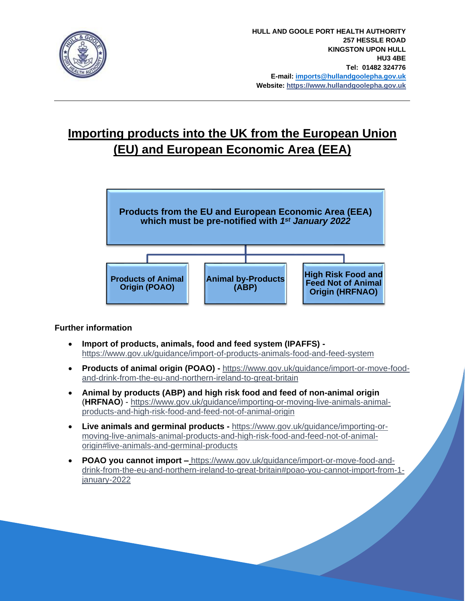

# **Importing products into the UK from the European Union (EU) and European Economic Area (EEA)**



# **Further information**

- **Import of products, animals, food and feed system (IPAFFS)**  <https://www.gov.uk/guidance/import-of-products-animals-food-and-feed-system>
- **Products of animal origin (POAO) -** [https://www.gov.uk/guidance/import-or-move-food](https://www.gov.uk/guidance/import-or-move-food-and-drink-from-the-eu-and-northern-ireland-to-great-britain)[and-drink-from-the-eu-and-northern-ireland-to-great-britain](https://www.gov.uk/guidance/import-or-move-food-and-drink-from-the-eu-and-northern-ireland-to-great-britain)
- **Animal by products (ABP) and high risk food and feed of non-animal origin** (**HRFNAO**) - [https://www.gov.uk/guidance/importing-or-moving-live-animals-animal](https://www.gov.uk/guidance/importing-or-moving-live-animals-animal-products-and-high-risk-food-and-feed-not-of-animal-origin)[products-and-high-risk-food-and-feed-not-of-animal-origin](https://www.gov.uk/guidance/importing-or-moving-live-animals-animal-products-and-high-risk-food-and-feed-not-of-animal-origin)
- **Live animals and germinal products -** [https://www.gov.uk/guidance/importing-or](https://www.gov.uk/guidance/importing-or-moving-live-animals-animal-products-and-high-risk-food-and-feed-not-of-animal-origin#live-animals-and-germinal-products)[moving-live-animals-animal-products-and-high-risk-food-and-feed-not-of-animal](https://www.gov.uk/guidance/importing-or-moving-live-animals-animal-products-and-high-risk-food-and-feed-not-of-animal-origin#live-animals-and-germinal-products)[origin#live-animals-and-germinal-products](https://www.gov.uk/guidance/importing-or-moving-live-animals-animal-products-and-high-risk-food-and-feed-not-of-animal-origin#live-animals-and-germinal-products)
- **POAO you cannot import –** [https://www.gov.uk/guidance/import-or-move-food-and](https://www.gov.uk/guidance/import-or-move-food-and-drink-from-the-eu-and-northern-ireland-to-great-britain#poao-you-cannot-import-from-1-january-2022)[drink-from-the-eu-and-northern-ireland-to-great-britain#poao-you-cannot-import-from-1](https://www.gov.uk/guidance/import-or-move-food-and-drink-from-the-eu-and-northern-ireland-to-great-britain#poao-you-cannot-import-from-1-january-2022) [january-2022](https://www.gov.uk/guidance/import-or-move-food-and-drink-from-the-eu-and-northern-ireland-to-great-britain#poao-you-cannot-import-from-1-january-2022)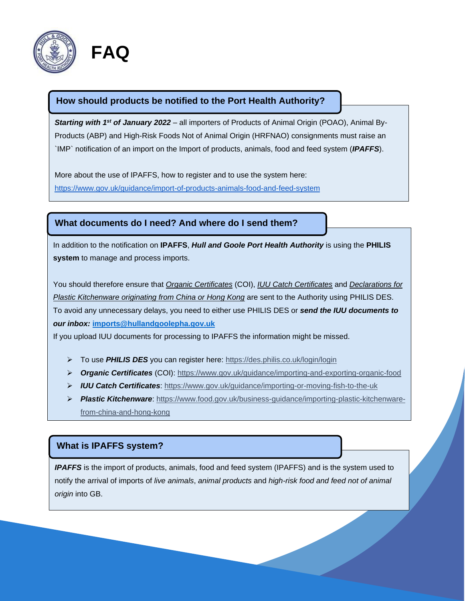

## **How should products be notified to the Port Health Authority?**

**Starting with 1<sup>st</sup> of January 2022** – all importers of Products of Animal Origin (POAO), Animal By-Products (ABP) and High-Risk Foods Not of Animal Origin (HRFNAO) consignments must raise an `IMP` notification of an import on the Import of products, animals, food and feed system (*IPAFFS*).

More about the use of IPAFFS, how to register and to use the system here: <https://www.gov.uk/guidance/import-of-products-animals-food-and-feed-system>

### **What documents do I need? And where do I send them?**

In addition to the notification on **IPAFFS**, *Hull and Goole Port Health Authority* is using the **PHILIS system** to manage and process imports.

You should therefore ensure that *Organic Certificates* (COI), *IUU Catch Certificates* and *Declarations for Plastic Kitchenware originating from China or Hong Kong* are sent to the Authority using PHILIS DES. To avoid any unnecessary delays, you need to either use PHILIS DES or *send the IUU documents to our inbox:* **[imports@hullandgoolepha.gov.uk](mailto:imports@hullandgoolepha.gov.uk)**

If you upload IUU documents for processing to IPAFFS the information might be missed.

- ➢ To use *PHILIS DES* you can register here:<https://des.philis.co.uk/login/login>
- ➢ *Organic Certificates* (COI):<https://www.gov.uk/guidance/importing-and-exporting-organic-food>
- ➢ *IUU Catch Certificates*:<https://www.gov.uk/guidance/importing-or-moving-fish-to-the-uk>
- ➢ *Plastic Kitchenware*: [https://www.food.gov.uk/business-guidance/importing-plastic-kitchenware](https://www.food.gov.uk/business-guidance/importing-plastic-kitchenware-from-china-and-hong-kong)[from-china-and-hong-kong](https://www.food.gov.uk/business-guidance/importing-plastic-kitchenware-from-china-and-hong-kong)

### **What is IPAFFS system?**

*IPAFFS* is the import of products, animals, food and feed system (IPAFFS) and is the system used to notify the arrival of imports of *live animals*, *animal products* and *high-risk food and feed not of animal origin* into GB.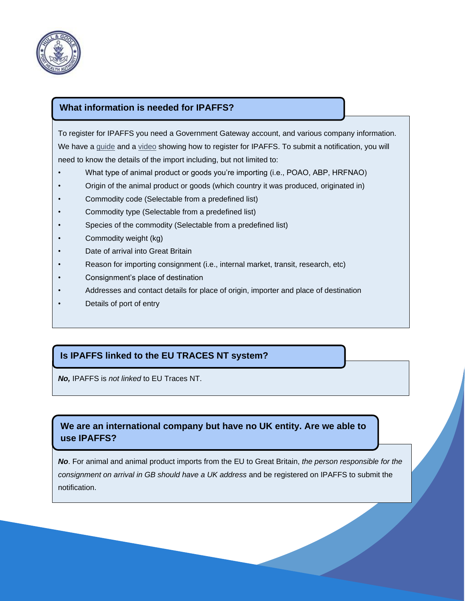

## **What information is needed for IPAFFS?**

To register for IPAFFS you need a Government Gateway account, and various company information. We have a [guide](https://www.dropbox.com/scl/fi/nkg4nltxghurtqp9oncp3/Moving-Goods-from-the-European-Union-into-Great-Britain.-New-Requirements-from-January-2022.paper?dl=0&rlkey=xe77te92f6adbnez96b4h26s8) and a [video](https://www.youtube.com/watch?app=desktop&v=9ftkdi7VjS8) showing how to register for IPAFFS. To submit a notification, you will need to know the details of the import including, but not limited to:

- What type of animal product or goods you're importing (i.e., POAO, ABP, HRFNAO)
- Origin of the animal product or goods (which country it was produced, originated in)
- Commodity code (Selectable from a predefined list)
- Commodity type (Selectable from a predefined list)
- Species of the commodity (Selectable from a predefined list)
- Commodity weight (kg)
- Date of arrival into Great Britain
- Reason for importing consignment (i.e., internal market, transit, research, etc)
- Consignment's place of destination
- Addresses and contact details for place of origin, importer and place of destination
- Details of port of entry

# **Is IPAFFS linked to the EU TRACES NT system?**

*No,* IPAFFS is *not linked* to EU Traces NT.

# **We are an international company but have no UK entity. Are we able to use IPAFFS?**

*No*. For animal and animal product imports from the EU to Great Britain, *the person responsible for the consignment on arrival in GB should have a UK address* and be registered on IPAFFS to submit the notification.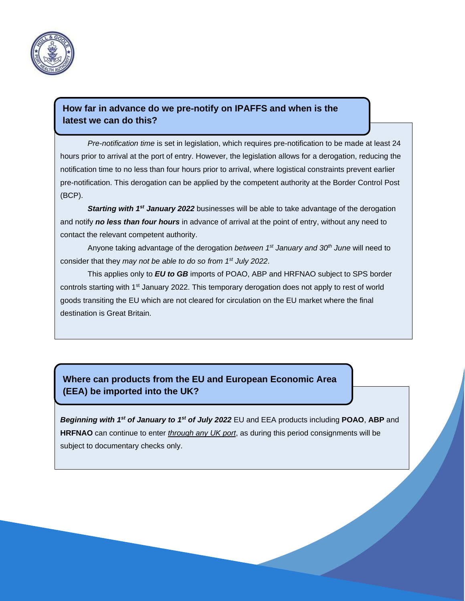

## **How far in advance do we pre-notify on IPAFFS and when is the latest we can do this?**

*Pre-notification time* is set in legislation, which requires pre-notification to be made at least 24 hours prior to arrival at the port of entry. However, the legislation allows for a derogation, reducing the notification time to no less than four hours prior to arrival, where logistical constraints prevent earlier pre-notification. This derogation can be applied by the competent authority at the Border Control Post (BCP).

**Starting with 1<sup>st</sup> January 2022** businesses will be able to take advantage of the derogation and notify *no less than four hours* in advance of arrival at the point of entry, without any need to contact the relevant competent authority.

Anyone taking advantage of the derogation *between 1st January and 30th June* will need to consider that they *may not be able to do so from 1st July 2022*.

This applies only to *EU to GB* imports of POAO, ABP and HRFNAO subject to SPS border controls starting with 1<sup>st</sup> January 2022. This temporary derogation does not apply to rest of world goods transiting the EU which are not cleared for circulation on the EU market where the final destination is Great Britain.

# **Where can products from the EU and European Economic Area (EEA) be imported into the UK?**

*Beginning with 1 st of January to 1 st of July 2022* EU and EEA products including **POAO**, **ABP** and **HRFNAO** can continue to enter *through any UK port*, as during this period consignments will be subject to documentary checks only.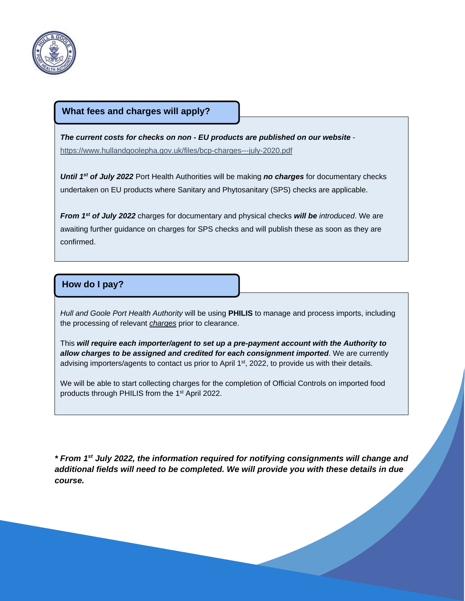

#### **What fees and charges will apply?**

*The current costs for checks on non - EU products are published on our website* <https://www.hullandgoolepha.gov.uk/files/bcp-charges---july-2020.pdf>

*Until 1st of July 2022* Port Health Authorities will be making *no charges* for documentary checks undertaken on EU products where Sanitary and Phytosanitary (SPS) checks are applicable.

*From 1st of July 2022* charges for documentary and physical checks *will be introduced*. We are awaiting further guidance on charges for SPS checks and will publish these as soon as they are confirmed.

### **How do I pay?**

*Hull and Goole Port Health Authority* will be using **PHILIS** to manage and process imports, including the processing of relevant *charges* prior to clearance.

This *will require each importer/agent to set up a pre-payment account with the Authority to allow charges to be assigned and credited for each consignment imported*. We are currently advising importers/agents to contact us prior to April 1<sup>st</sup>, 2022, to provide us with their details.

We will be able to start collecting charges for the completion of Official Controls on imported food products through PHILIS from the 1st April 2022.

*\* From 1st July 2022, the information required for notifying consignments will change and additional fields will need to be completed. We will provide you with these details in due course.*